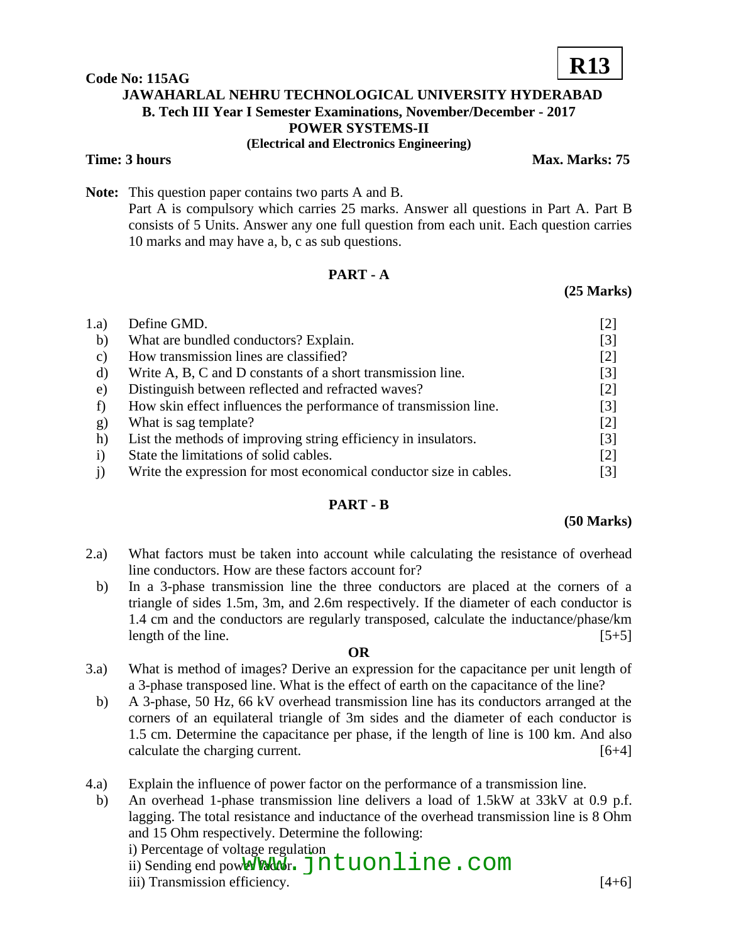## **Code No: 115AG JAWAHARLAL NEHRU TECHNOLOGICAL UNIVERSITY HYDERABAD B. Tech III Year I Semester Examinations, November/December - 2017 POWER SYSTEMS-II (Electrical and Electronics Engineering)**

**Time: 3 hours Max. Marks: 75** 

**Note:** This question paper contains two parts A and B. Part A is compulsory which carries 25 marks. Answer all questions in Part A. Part B consists of 5 Units. Answer any one full question from each unit. Each question carries 10 marks and may have a, b, c as sub questions.

# **PART - A**

## **(25 Marks)**

| 1.a)         | Define GMD.                                                        | [2]               |
|--------------|--------------------------------------------------------------------|-------------------|
| b)           | What are bundled conductors? Explain.                              | $[3]$             |
| C)           | How transmission lines are classified?                             | $[2]$             |
| d)           | Write A, B, C and D constants of a short transmission line.        | $\lceil 3 \rceil$ |
| e)           | Distinguish between reflected and refracted waves?                 | $[2]$             |
|              | How skin effect influences the performance of transmission line.   | [3]               |
| g)           | What is sag template?                                              | $[2]$             |
| h)           | List the methods of improving string efficiency in insulators.     | [3]               |
| $\mathbf{i}$ | State the limitations of solid cables.                             | $[2]$             |
|              | Write the expression for most economical conductor size in cables. | [3]               |

## **PART - B**

#### **(50 Marks)**

- 2.a) What factors must be taken into account while calculating the resistance of overhead line conductors. How are these factors account for?
	- b) In a 3-phase transmission line the three conductors are placed at the corners of a triangle of sides 1.5m, 3m, and 2.6m respectively. If the diameter of each conductor is 1.4 cm and the conductors are regularly transposed, calculate the inductance/phase/km length of the line.  $[5+5]$

#### **OR**

- 3.a) What is method of images? Derive an expression for the capacitance per unit length of a 3-phase transposed line. What is the effect of earth on the capacitance of the line?
- b) A 3-phase, 50 Hz, 66 kV overhead transmission line has its conductors arranged at the corners of an equilateral triangle of 3m sides and the diameter of each conductor is 1.5 cm. Determine the capacitance per phase, if the length of line is 100 km. And also calculate the charging current. [6+4]
- 4.a) Explain the influence of power factor on the performance of a transmission line.

b) An overhead 1-phase transmission line delivers a load of 1.5kW at 33kV at 0.9 p.f. lagging. The total resistance and inductance of the overhead transmission line is 8 Ohm and 15 Ohm respectively. Determine the following: i) Percentage of voltage regulation

ii) Sending end pow<del>er Pactor</del> on Jutuonline . com

iii) Transmission efficiency. [4+6]